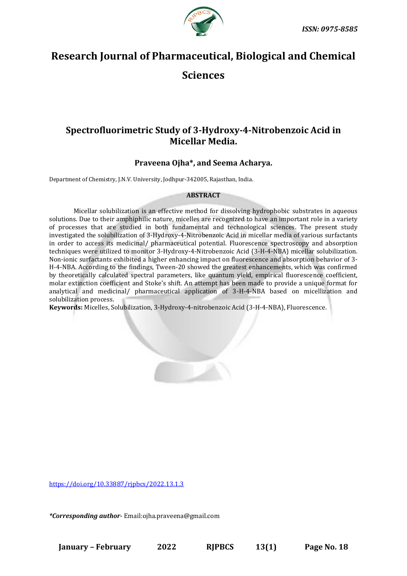

# **Research Journal of Pharmaceutical, Biological and Chemical**

# **Sciences**

# **Spectrofluorimetric Study of 3-Hydroxy-4-Nitrobenzoic Acid in Micellar Media.**

## **Praveena Ojha\*, and Seema Acharya.**

Department of Chemistry, J.N.V. University, Jodhpur-342005, Rajasthan, India.

#### **ABSTRACT**

Micellar solubilization is an effective method for dissolving hydrophobic substrates in aqueous solutions. Due to their amphiphilic nature, micelles are recognized to have an important role in a variety of processes that are studied in both fundamental and technological sciences. The present study investigated the solubilization of 3-Hydroxy-4-Nitrobenzoic Acid in micellar media of various surfactants in order to access its medicinal/ pharmaceutical potential. Fluorescence spectroscopy and absorption techniques were utilized to monitor 3-Hydroxy-4-Nitrobenzoic Acid (3-H-4-NBA) micellar solubilization. Non-ionic surfactants exhibited a higher enhancing impact on fluorescence and absorption behavior of 3- H-4-NBA. According to the findings, Tween-20 showed the greatest enhancements, which was confirmed by theoretically calculated spectral parameters, like quantum yield, empirical fluorescence coefficient, molar extinction coefficient and Stoke's shift. An attempt has been made to provide a unique format for analytical and medicinal/ pharmaceutical application of 3-H-4-NBA based on micellization and solubilization process.

**Keywords:** Micelles, Solubilization, 3-Hydroxy-4-nitrobenzoic Acid (3-H-4-NBA), Fluorescence.

[https://doi.org/10.33887/rjpbcs/2022.13.1.3](https://doi.org/10.33887/rjpbcs/2022.13.1.1)

*\*Corresponding author*- Email:ojha.praveena@gmail.com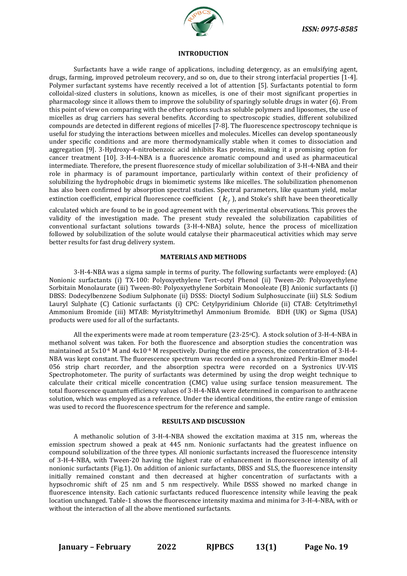

#### **INTRODUCTION**

Surfactants have a wide range of applications, including detergency, as an emulsifying agent, drugs, farming, improved petroleum recovery, and so on, due to their strong interfacial properties [1-4]. Polymer surfactant systems have recently received a lot of attention [5]. Surfactants potential to form colloidal-sized clusters in solutions, known as micelles, is one of their most significant properties in pharmacology since it allows them to improve the solubility of sparingly soluble drugs in water (6). From this point of view on comparing with the other options such as soluble polymers and liposomes, the use of micelles as drug carriers has several benefits. According to spectroscopic studies, different solubilized compounds are detected in different regions of micelles [7-8]. The fluorescence spectroscopy technique is useful for studying the interactions between micelles and molecules. Micelles can develop spontaneously under specific conditions and are more thermodynamically stable when it comes to dissociation and aggregation [9]. 3-Hydroxy-4-nitrobenzoic acid inhibits Ras proteins, making it a promising option for cancer treatment [10]. 3-H-4-NBA is a fluorescence aromatic compound and used as pharmaceutical intermediate. Therefore, the present fluorescence study of micellar solubilization of 3-H-4-NBA and their role in pharmacy is of paramount importance, particularly within context of their proficiency of solubilizing the hydrophobic drugs in biomimetic systems like micelles. The solubilization phenomenon has also been confirmed by absorption spectral studies. Spectral parameters, like quantum yield, molar extinction coefficient, empirical fluorescence coefficient  $(k_f)$ , and Stoke's shift have been theoretically

calculated which are found to be in good agreement with the experimental observations. This proves the validity of the investigation made. The present study revealed the solubilization capabilities of conventional surfactant solutions towards (3-H-4-NBA) solute, hence the process of micellization followed by solubilization of the solute would catalyse their pharmaceutical activities which may serve better results for fast drug delivery system.

#### **MATERIALS AND METHODS**

3-H-4-NBA was a sigma sample in terms of purity. The following surfactants were employed: (A) Nonionic surfactants (i) TX-100: Polyoxyethylene Tert–octyl Phenol (ii) Tween-20: Polyoxyethylene Sorbitain Monolaurate (iii) Tween-80: Polyoxyethylene Sorbitain Monooleate (B) Anionic surfactants (i) DBSS: Dodecylbenzene Sodium Sulphonate (ii) DSSS: Dioctyl Sodium Sulphosuccinate (iii) SLS: Sodium Lauryl Sulphate (C) Cationic surfactants (i) CPC: Cetylpyridinium Chloride (ii) CTAB: Cetyltrimethyl Ammonium Bromide (iii) MTAB: Myristyltrimethyl Ammonium Bromide. BDH (UK) or Sigma (USA) products were used for all of the surfactants.

All the experiments were made at room temperature ( $23-25\degree$ C). A stock solution of 3-H-4-NBA in methanol solvent was taken. For both the fluorescence and absorption studies the concentration was maintained at 5x10-4 M and 4x10-4 M respectively. During the entire process, the concentration of 3-H-4- NBA was kept constant. The fluorescence spectrum was recorded on a synchronized Perkin-Elmer model 056 strip chart recorder, and the absorption spectra were recorded on a Systronics UV-VIS Spectrophotometer. The purity of surfactants was determined by using the drop weight technique to calculate their critical micelle concentration (CMC) value using surface tension measurement. The total fluorescence quantum efficiency values of 3-H-4-NBA were determined in comparison to anthracene solution, which was employed as a reference. Under the identical conditions, the entire range of emission was used to record the fluorescence spectrum for the reference and sample.

#### **RESULTS AND DISCUSSION**

A methanolic solution of 3-H-4-NBA showed the excitation maxima at 315 nm, whereas the emission spectrum showed a peak at 445 nm. Nonionic surfactants had the greatest influence on compound solubilization of the three types. All nonionic surfactants increased the fluorescence intensity of 3-H-4-NBA, with Tween-20 having the highest rate of enhancement in fluorescence intensity of all nonionic surfactants (Fig.1). On addition of anionic surfactants, DBSS and SLS, the fluorescence intensity initially remained constant and then decreased at higher concentration of surfactants with a hypsochromic shift of 25 nm and 5 nm respectively. While DSSS showed no marked change in fluorescence intensity. Each cationic surfactants reduced fluorescence intensity while leaving the peak location unchanged. Table-1 shows the fluorescence intensity maxima and minima for 3-H-4-NBA, with or without the interaction of all the above mentioned surfactants.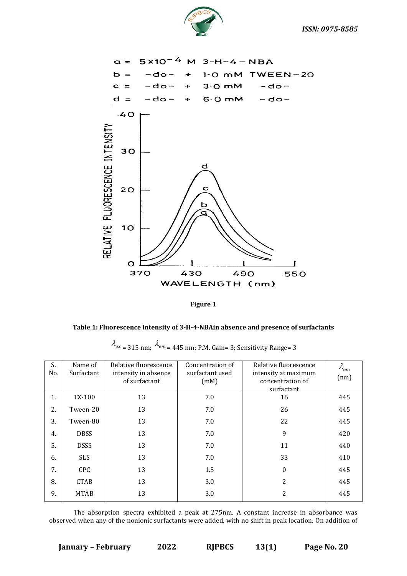



**Figure 1**



|  | $\lambda_{ex}$ = 315 nm; $\lambda_{em}$ = 445 nm; P.M. Gain= 3; Sensitivity Range= 3 |
|--|--------------------------------------------------------------------------------------|
|  |                                                                                      |
|  |                                                                                      |
|  |                                                                                      |

| S.<br>No. | Name of<br>Surfactant | Relative fluorescence<br>intensity in absence<br>of surfactant | Concentration of<br>surfactant used<br>(mM) | Relative fluorescence<br>intensity at maximum<br>concentration of<br>surfactant | $\lambda_{em}$<br>(nm) |
|-----------|-----------------------|----------------------------------------------------------------|---------------------------------------------|---------------------------------------------------------------------------------|------------------------|
| 1.        | TX-100                | 13                                                             | 7.0                                         | 16                                                                              | 445                    |
| 2.        | Tween-20              | 13                                                             | 7.0                                         | 26                                                                              | 445                    |
| 3.        | Tween-80              | 13                                                             | 7.0                                         | 22                                                                              | 445                    |
| 4.        | <b>DBSS</b>           | 13                                                             | 7.0                                         | 9                                                                               | 420                    |
| 5.        | <b>DSSS</b>           | 13                                                             | 7.0                                         | 11                                                                              | 440                    |
| 6.        | <b>SLS</b>            | 13                                                             | 7.0                                         | 33                                                                              | 410                    |
| 7.        | <b>CPC</b>            | 13                                                             | 1.5                                         | 0                                                                               | 445                    |
| 8.        | <b>CTAB</b>           | 13                                                             | 3.0                                         | 2                                                                               | 445                    |
| 9.        | <b>MTAB</b>           | 13                                                             | 3.0                                         | 2                                                                               | 445                    |

The absorption spectra exhibited a peak at 275nm. A constant increase in absorbance was observed when any of the nonionic surfactants were added, with no shift in peak location. On addition of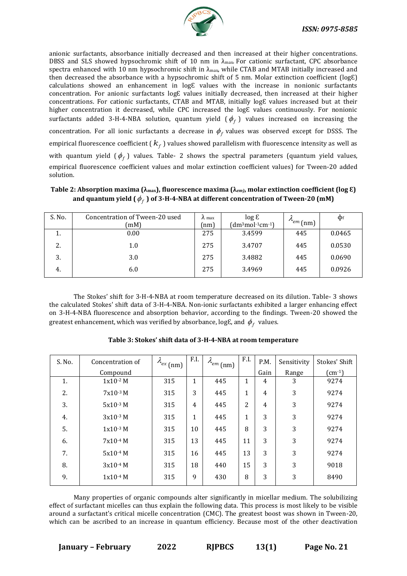

anionic surfactants, absorbance initially decreased and then increased at their higher concentrations. DBSS and SLS showed hypsochromic shift of 10 nm in  $\lambda_{\text{max}}$ . For cationic surfactant, CPC absorbance spectra enhanced with 10 nm hypsochromic shift in λmax, while CTAB and MTAB initially increased and then decreased the absorbance with a hypsochromic shift of 5 nm. Molar extinction coefficient ( $logE$ ) calculations showed an enhancement in log& values with the increase in nonionic surfactants concentration. For anionic surfactants log& values initially decreased, then increased at their higher concentrations. For cationic surfactants, CTAB and MTAB, initially logƐ values increased but at their higher concentration it decreased, while CPC increased the log& values continuously. For nonionic surfactants added 3-H-4-NBA solution, quantum yield  $(\phi_f)$  values increased on increasing the concentration. For all ionic surfactants a decrease in  $\phi_f$  values was observed except for DSSS. The empirical fluorescence coefficient ( $k_f$ ) values showed parallelism with fluorescence intensity as well as with quantum yield  $(\phi_f)$  values. Table- 2 shows the spectral parameters (quantum yield values, empirical fluorescence coefficient values and molar extinction coefficient values) for Tween-20 added solution.

| S. No. | Concentration of Tween-20 used<br>(mM) | $\Lambda$ max<br>(nm) | $\log \epsilon$<br>$(dm3mol·1cm·1)$ | $\mu_{em}$ (nm) | $\Phi$ f |
|--------|----------------------------------------|-----------------------|-------------------------------------|-----------------|----------|
| ı.     | 0.00                                   | 275                   | 3.4599                              | 445             | 0.0465   |
| 2.     | $1.0\,$                                | 275                   | 3.4707                              | 445             | 0.0530   |
| 3.     | 3.0                                    | 275                   | 3.4882                              | 445             | 0.0690   |
| 4.     | 6.0                                    | 275                   | 3.4969                              | 445             | 0.0926   |

## **Table 2: Absorption maxima (λmax), fluorescence maxima (λ***em)***, molar extinction coefficient (log Ɛ)**  and quantum yield (  $\phi_{_f}$  ) of 3-H-4-NBA at different concentration of Tween-20 (mM)

The Stokes' shift for 3-H-4-NBA at room temperature decreased on its dilution. Table- 3 shows the calculated Stokes' shift data of 3-H-4-NBA. Non-ionic surfactants exhibited a larger enhancing effect on 3-H-4-NBA fluorescence and absorption behavior, according to the findings. Tween-20 showed the greatest enhancement, which was verified by absorbance, logE, and  $\,\phi_{\hskip1pt f}\,$  values.

| S. No. | Concentration of | $\lambda_{ex}$ (nm) | F.I.           | $\lambda_{em}$ (nm) | F.I. | P.M.           | Sensitivity | Stokes' Shift      |
|--------|------------------|---------------------|----------------|---------------------|------|----------------|-------------|--------------------|
|        | Compound         |                     |                |                     |      | Gain           | Range       | $\text{cm}^{-1}$ ) |
| 1.     | $1x10^{-2}$ M    | 315                 | 1              | 445                 | 1    | 4              | 3           | 9274               |
| 2.     | $7x10^{-3}$ M    | 315                 | 3              | 445                 | 1    | $\overline{4}$ | 3           | 9274               |
| 3.     | $5x10^{-3}$ M    | 315                 | $\overline{4}$ | 445                 | 2    | $\overline{4}$ | 3           | 9274               |
| 4.     | $3x10-3$ M       | 315                 | 1              | 445                 |      | 3              | 3           | 9274               |
| 5.     | $1x10^{-3}$ M    | 315                 | 10             | 445                 | 8    | 3              | 3           | 9274               |
| 6.     | $7x10-4$ M       | 315                 | 13             | 445                 | 11   | 3              | 3           | 9274               |
| 7.     | 5x10-4 M         | 315                 | 16             | 445                 | 13   | 3              | 3           | 9274               |
| 8.     | $3x10^{-4}$ M    | 315                 | 18             | 440                 | 15   | 3              | 3           | 9018               |
| 9.     | $1x10^{-4}$ M    | 315                 | 9              | 430                 | 8    | 3              | 3           | 8490               |

### **Table 3: Stokes' shift data of 3-H-4-NBA at room temperature**

Many properties of organic compounds alter significantly in micellar medium. The solubilizing effect of surfactant micelles can thus explain the following data. This process is most likely to be visible around a surfactant's critical micelle concentration (CMC). The greatest boost was shown in Tween-20, which can be ascribed to an increase in quantum efficiency. Because most of the other deactivation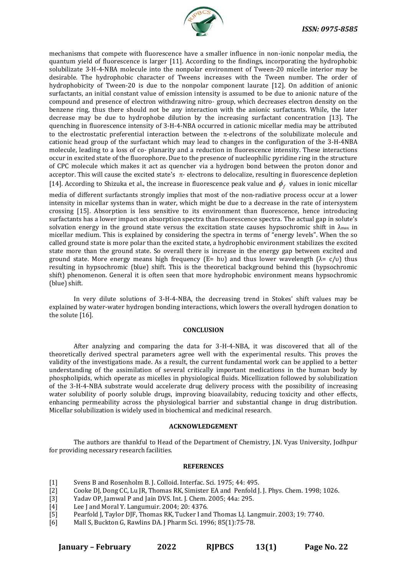

mechanisms that compete with fluorescence have a smaller influence in non-ionic nonpolar media, the quantum yield of fluorescence is larger [11]. According to the findings, incorporating the hydrophobic solubilizate 3-H-4-NBA molecule into the nonpolar environment of Tween-20 micelle interior may be desirable. The hydrophobic character of Tweens increases with the Tween number. The order of hydrophobicity of Tween-20 is due to the nonpolar component laurate [12]. On addition of anionic surfactants, an initial constant value of emission intensity is assumed to be due to anionic nature of the compound and presence of electron withdrawing nitro- group, which decreases electron density on the benzene ring, thus there should not be any interaction with the anionic surfactants. While, the later decrease may be due to hydrophobe dilution by the increasing surfactant concentration [13]. The quenching in fluorescence intensity of 3-H-4-NBA occurred in cationic micellar media may be attributed to the electrostatic preferential interaction between the  $\pi$ -electrons of the solubilizate molecule and cationic head group of the surfactant which may lead to changes in the configuration of the 3-H-4NBA molecule, leading to a loss of co- planarity and a reduction in fluorescence intensity. These interactions occur in excited state of the fluorophore. Due to the presence of nucleophilic pyridine ring in the structure of CPC molecule which makes it act as quencher via a hydrogen bond between the proton donor and acceptor. This will cause the excited state's  $\pi$ - electrons to delocalize, resulting in fluorescence depletion [14]. According to Shizuka et al., the increase in fluorescence peak value and  $\phi_f$  values in ionic micellar

media of different surfactants strongly implies that most of the non-radiative process occur at a lower intensity in micellar systems than in water, which might be due to a decrease in the rate of intersystem crossing [15]. Absorption is less sensitive to its environment than fluorescence, hence introducing surfactants has a lower impact on absorption spectra than fluorescence spectra. The actual gap in solute's solvation energy in the ground state versus the excitation state causes hypsochromic shift in  $\lambda_{\text{max}}$  in micellar medium. This is explained by considering the spectra in terms of "energy levels". When the so called ground state is more polar than the excited state, a hydrophobic environment stabilizes the excited state more than the ground state. So overall there is increase in the energy gap between excited and ground state. More energy means high frequency (E= hν) and thus lower wavelength ( $λ = c/v$ ) thus resulting in hypsochromic (blue) shift. This is the theoretical background behind this (hypsochromic shift) phenomenon. General it is often seen that more hydrophobic environment means hypsochromic (blue) shift.

In very dilute solutions of 3-H-4-NBA, the decreasing trend in Stokes' shift values may be explained by water-water hydrogen bonding interactions, which lowers the overall hydrogen donation to the solute [16].

#### **CONCLUSION**

After analyzing and comparing the data for 3-H-4-NBA, it was discovered that all of the theoretically derived spectral parameters agree well with the experimental results. This proves the validity of the investigations made. As a result, the current fundamental work can be applied to a better understanding of the assimilation of several critically important medications in the human body by phospholipids, which operate as micelles in physiological fluids. Micellization followed by solubilization of the 3-H-4-NBA substrate would accelerate drug delivery process with the possibility of increasing water solubility of poorly soluble drugs, improving bioavailabity, reducing toxicity and other effects, enhancing permeability across the physiological barrier and substantial change in drug distribution. Micellar solubilization is widely used in biochemical and medicinal research.

#### **ACKNOWLEDGEMENT**

The authors are thankful to Head of the Department of Chemistry, J.N. Vyas University, Jodhpur for providing necessary research facilities.

#### **REFERENCES**

- [1] Svens B and Rosenholm B. J. Colloid. Interfac. Sci*.* 1975; 44: 495.
- [2] Cooke DJ, Dong CC, Lu JR, Thomas RK, Simister EA and Penfold J. J. Phys. Chem. 1998; 1026.<br>[3] Yadav OP, Jamwal P and Jain DVS. Int. J. Chem. 2005; 44a: 295.
- [3] Yadav OP, Jamwal P and Jain DVS. Int. J. Chem*.* 2005; 44a: 295.
- [4] Lee J and Moral Y. Langumuir. 2004; 20: 4376.
- [5] Pearfold J, Taylor DJF, Thomas RK, Tucker I and Thomas LJ. Langmuir. 2003; 19: 7740.
- [6] Mall S, Buckton G, Rawlins DA. J Pharm Sci. 1996; 85(1):75-78.

| <b>January - February</b> | 2022 | <b>RIPBCS</b> | 13(1) | Page No. 22 |
|---------------------------|------|---------------|-------|-------------|
|                           |      |               |       |             |